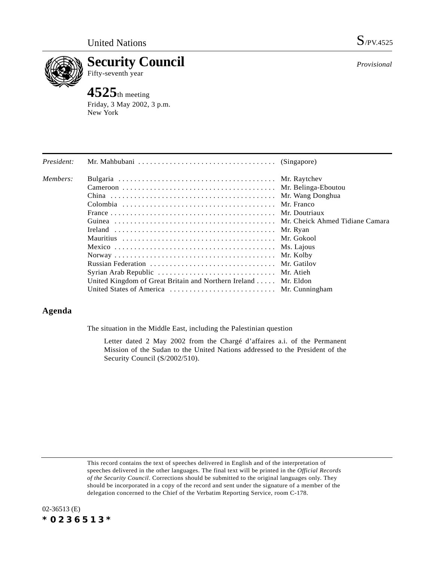

**Security Council** Fifty-seventh year

# **4525**th meeting

Friday, 3 May 2002, 3 p.m. New York

| President: |                                                                |             |
|------------|----------------------------------------------------------------|-------------|
| Members:   |                                                                |             |
|            |                                                                |             |
|            |                                                                |             |
|            |                                                                | Mr. Franco  |
|            |                                                                |             |
|            |                                                                |             |
|            |                                                                | Mr. Ryan    |
|            |                                                                | Mr. Gokool  |
|            |                                                                | Ms. Lajous  |
|            |                                                                | Mr. Kolby   |
|            |                                                                | Mr. Gatilov |
|            | Syrian Arab Republic  Mr. Atieh                                |             |
|            | United Kingdom of Great Britain and Northern Ireland Mr. Eldon |             |
|            | United States of America  Mr. Cunningham                       |             |

## **Agenda**

The situation in the Middle East, including the Palestinian question

Letter dated 2 May 2002 from the Chargé d'affaires a.i. of the Permanent Mission of the Sudan to the United Nations addressed to the President of the Security Council (S/2002/510).

This record contains the text of speeches delivered in English and of the interpretation of speeches delivered in the other languages. The final text will be printed in the *Official Records of the Security Council*. Corrections should be submitted to the original languages only. They should be incorporated in a copy of the record and sent under the signature of a member of the delegation concerned to the Chief of the Verbatim Reporting Service, room C-178.



*Provisional*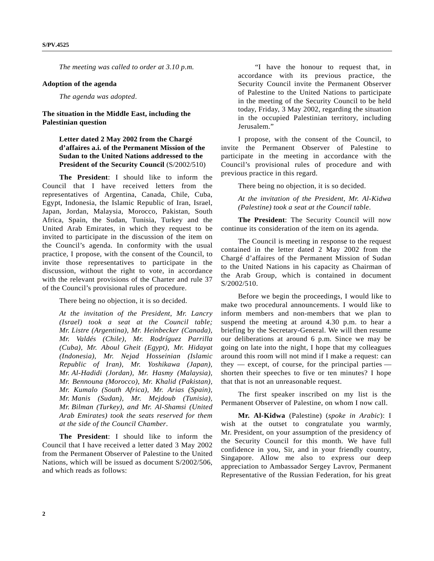*The meeting was called to order at 3.10 p.m.*

#### **Adoption of the agenda**

*The agenda was adopted*.

### **The situation in the Middle East, including the Palestinian question**

**Letter dated 2 May 2002 from the Chargé d'affaires a.i. of the Permanent Mission of the Sudan to the United Nations addressed to the President of the Security Council** (S/2002/510)

**The President**: I should like to inform the Council that I have received letters from the representatives of Argentina, Canada, Chile, Cuba, Egypt, Indonesia, the Islamic Republic of Iran, Israel, Japan, Jordan, Malaysia, Morocco, Pakistan, South Africa, Spain, the Sudan, Tunisia, Turkey and the United Arab Emirates, in which they request to be invited to participate in the discussion of the item on the Council's agenda. In conformity with the usual practice, I propose, with the consent of the Council, to invite those representatives to participate in the discussion, without the right to vote, in accordance with the relevant provisions of the Charter and rule 37 of the Council's provisional rules of procedure.

There being no objection, it is so decided.

*At the invitation of the President, Mr. Lancry (Israel) took a seat at the Council table; Mr. Listre (Argentina), Mr. Heinbecker (Canada), Mr. Valdés (Chile), Mr. Rodríguez Parrilla (Cuba), Mr. Aboul Gheit (Egypt), Mr. Hidayat (Indonesia), Mr. Nejad Hosseinian (Islamic Republic of Iran), Mr. Yoshikawa (Japan), Mr. Al-Hadidi (Jordan), Mr. Hasmy (Malaysia), Mr. Bennouna (Morocco), Mr. Khalid (Pakistan), Mr. Kumalo (South Africa), Mr. Arias (Spain), Mr. Manis (Sudan), Mr. Mejdoub (Tunisia), Mr. Bilman (Turkey), and Mr. Al-Shamsi (United Arab Emirates) took the seats reserved for them at the side of the Council Chamber*.

**The President**: I should like to inform the Council that I have received a letter dated 3 May 2002 from the Permanent Observer of Palestine to the United Nations, which will be issued as document S/2002/506, and which reads as follows:

"I have the honour to request that, in accordance with its previous practice, the Security Council invite the Permanent Observer of Palestine to the United Nations to participate in the meeting of the Security Council to be held today, Friday, 3 May 2002, regarding the situation in the occupied Palestinian territory, including Jerusalem."

I propose, with the consent of the Council, to invite the Permanent Observer of Palestine to participate in the meeting in accordance with the Council's provisional rules of procedure and with previous practice in this regard.

There being no objection, it is so decided.

*At the invitation of the President, Mr. Al-Kidwa (Palestine) took a seat at the Council table*.

**The President**: The Security Council will now continue its consideration of the item on its agenda.

The Council is meeting in response to the request contained in the letter dated 2 May 2002 from the Chargé d'affaires of the Permanent Mission of Sudan to the United Nations in his capacity as Chairman of the Arab Group, which is contained in document S/2002/510.

Before we begin the proceedings, I would like to make two procedural announcements. I would like to inform members and non-members that we plan to suspend the meeting at around 4.30 p.m. to hear a briefing by the Secretary-General. We will then resume our deliberations at around 6 p.m. Since we may be going on late into the night, I hope that my colleagues around this room will not mind if I make a request: can they  $-$  except, of course, for the principal parties  $$ shorten their speeches to five or ten minutes? I hope that that is not an unreasonable request.

The first speaker inscribed on my list is the Permanent Observer of Palestine, on whom I now call.

**Mr. Al-Kidwa** (Palestine) (*spoke in Arabic*): I wish at the outset to congratulate you warmly, Mr. President, on your assumption of the presidency of the Security Council for this month. We have full confidence in you, Sir, and in your friendly country, Singapore. Allow me also to express our deep appreciation to Ambassador Sergey Lavrov, Permanent Representative of the Russian Federation, for his great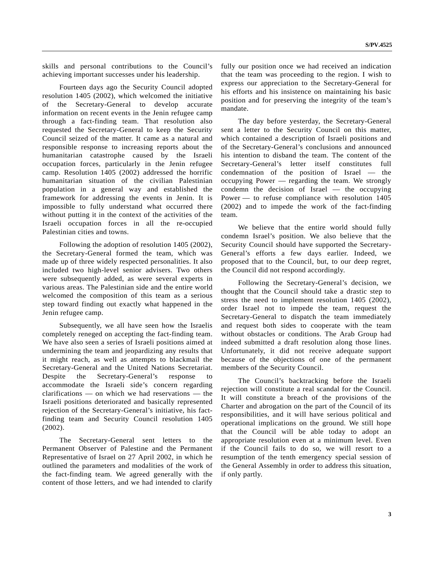skills and personal contributions to the Council's achieving important successes under his leadership.

Fourteen days ago the Security Council adopted resolution 1405 (2002), which welcomed the initiative of the Secretary-General to develop accurate information on recent events in the Jenin refugee camp through a fact-finding team. That resolution also requested the Secretary-General to keep the Security Council seized of the matter. It came as a natural and responsible response to increasing reports about the humanitarian catastrophe caused by the Israeli occupation forces, particularly in the Jenin refugee camp. Resolution 1405 (2002) addressed the horrific humanitarian situation of the civilian Palestinian population in a general way and established the framework for addressing the events in Jenin. It is impossible to fully understand what occurred there without putting it in the context of the activities of the Israeli occupation forces in all the re-occupied Palestinian cities and towns.

Following the adoption of resolution 1405 (2002), the Secretary-General formed the team, which was made up of three widely respected personalities. It also included two high-level senior advisers. Two others were subsequently added, as were several experts in various areas. The Palestinian side and the entire world welcomed the composition of this team as a serious step toward finding out exactly what happened in the Jenin refugee camp.

Subsequently, we all have seen how the Israelis completely reneged on accepting the fact-finding team. We have also seen a series of Israeli positions aimed at undermining the team and jeopardizing any results that it might reach, as well as attempts to blackmail the Secretary-General and the United Nations Secretariat. Despite the Secretary-General's response to accommodate the Israeli side's concern regarding clarifications — on which we had reservations — the Israeli positions deteriorated and basically represented rejection of the Secretary-General's initiative, his factfinding team and Security Council resolution 1405 (2002).

The Secretary-General sent letters to the Permanent Observer of Palestine and the Permanent Representative of Israel on 27 April 2002, in which he outlined the parameters and modalities of the work of the fact-finding team. We agreed generally with the content of those letters, and we had intended to clarify

fully our position once we had received an indication that the team was proceeding to the region. I wish to express our appreciation to the Secretary-General for his efforts and his insistence on maintaining his basic position and for preserving the integrity of the team's mandate.

The day before yesterday, the Secretary-General sent a letter to the Security Council on this matter, which contained a description of Israeli positions and of the Secretary-General's conclusions and announced his intention to disband the team. The content of the Secretary-General's letter itself constitutes full condemnation of the position of Israel — the occupying Power — regarding the team. We strongly condemn the decision of Israel — the occupying Power — to refuse compliance with resolution 1405 (2002) and to impede the work of the fact-finding team.

We believe that the entire world should fully condemn Israel's position. We also believe that the Security Council should have supported the Secretary-General's efforts a few days earlier. Indeed, we proposed that to the Council, but, to our deep regret, the Council did not respond accordingly.

Following the Secretary-General's decision, we thought that the Council should take a drastic step to stress the need to implement resolution 1405 (2002), order Israel not to impede the team, request the Secretary-General to dispatch the team immediately and request both sides to cooperate with the team without obstacles or conditions. The Arab Group had indeed submitted a draft resolution along those lines. Unfortunately, it did not receive adequate support because of the objections of one of the permanent members of the Security Council.

The Council's backtracking before the Israeli rejection will constitute a real scandal for the Council. It will constitute a breach of the provisions of the Charter and abrogation on the part of the Council of its responsibilities, and it will have serious political and operational implications on the ground. We still hope that the Council will be able today to adopt an appropriate resolution even at a minimum level. Even if the Council fails to do so, we will resort to a resumption of the tenth emergency special session of the General Assembly in order to address this situation, if only partly.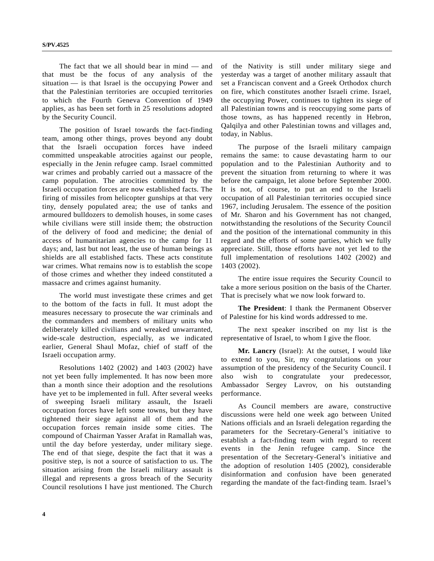The fact that we all should bear in mind — and that must be the focus of any analysis of the situation — is that Israel is the occupying Power and that the Palestinian territories are occupied territories to which the Fourth Geneva Convention of 1949 applies, as has been set forth in 25 resolutions adopted by the Security Council.

The position of Israel towards the fact-finding team, among other things, proves beyond any doubt that the Israeli occupation forces have indeed committed unspeakable atrocities against our people, especially in the Jenin refugee camp. Israel committed war crimes and probably carried out a massacre of the camp population. The atrocities committed by the Israeli occupation forces are now established facts. The firing of missiles from helicopter gunships at that very tiny, densely populated area; the use of tanks and armoured bulldozers to demolish houses, in some cases while civilians were still inside them; the obstruction of the delivery of food and medicine; the denial of access of humanitarian agencies to the camp for 11 days; and, last but not least, the use of human beings as shields are all established facts. These acts constitute war crimes. What remains now is to establish the scope of those crimes and whether they indeed constituted a massacre and crimes against humanity.

The world must investigate these crimes and get to the bottom of the facts in full. It must adopt the measures necessary to prosecute the war criminals and the commanders and members of military units who deliberately killed civilians and wreaked unwarranted, wide-scale destruction, especially, as we indicated earlier, General Shaul Mofaz, chief of staff of the Israeli occupation army.

Resolutions 1402 (2002) and 1403 (2002) have not yet been fully implemented. It has now been more than a month since their adoption and the resolutions have yet to be implemented in full. After several weeks of sweeping Israeli military assault, the Israeli occupation forces have left some towns, but they have tightened their siege against all of them and the occupation forces remain inside some cities. The compound of Chairman Yasser Arafat in Ramallah was, until the day before yesterday, under military siege. The end of that siege, despite the fact that it was a positive step, is not a source of satisfaction to us. The situation arising from the Israeli military assault is illegal and represents a gross breach of the Security Council resolutions I have just mentioned. The Church

of the Nativity is still under military siege and yesterday was a target of another military assault that set a Franciscan convent and a Greek Orthodox church on fire, which constitutes another Israeli crime. Israel, the occupying Power, continues to tighten its siege of all Palestinian towns and is reoccupying some parts of those towns, as has happened recently in Hebron, Qalqilya and other Palestinian towns and villages and, today, in Nablus.

The purpose of the Israeli military campaign remains the same: to cause devastating harm to our population and to the Palestinian Authority and to prevent the situation from returning to where it was before the campaign, let alone before September 2000. It is not, of course, to put an end to the Israeli occupation of all Palestinian territories occupied since 1967, including Jerusalem. The essence of the position of Mr. Sharon and his Government has not changed, notwithstanding the resolutions of the Security Council and the position of the international community in this regard and the efforts of some parties, which we fully appreciate. Still, those efforts have not yet led to the full implementation of resolutions 1402 (2002) and 1403 (2002).

The entire issue requires the Security Council to take a more serious position on the basis of the Charter. That is precisely what we now look forward to.

**The President**: I thank the Permanent Observer of Palestine for his kind words addressed to me.

The next speaker inscribed on my list is the representative of Israel, to whom I give the floor.

**Mr. Lancry** (Israel): At the outset, I would like to extend to you, Sir, my congratulations on your assumption of the presidency of the Security Council. I also wish to congratulate your predecessor, Ambassador Sergey Lavrov, on his outstanding performance.

As Council members are aware, constructive discussions were held one week ago between United Nations officials and an Israeli delegation regarding the parameters for the Secretary-General's initiative to establish a fact-finding team with regard to recent events in the Jenin refugee camp. Since the presentation of the Secretary-General's initiative and the adoption of resolution 1405 (2002), considerable disinformation and confusion have been generated regarding the mandate of the fact-finding team. Israel's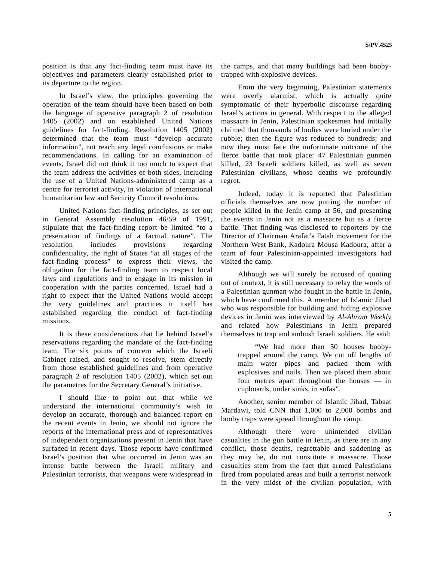position is that any fact-finding team must have its objectives and parameters clearly established prior to its departure to the region.

In Israel's view, the principles governing the operation of the team should have been based on both the language of operative paragraph 2 of resolution 1405 (2002) and on established United Nations guidelines for fact-finding. Resolution 1405 (2002) determined that the team must "develop accurate information", not reach any legal conclusions or make recommendations. In calling for an examination of events, Israel did not think it too much to expect that the team address the activities of both sides, including the use of a United Nations-administered camp as a centre for terrorist activity, in violation of international humanitarian law and Security Council resolutions.

United Nations fact-finding principles, as set out in General Assembly resolution 46/59 of 1991, stipulate that the fact-finding report be limited "to a presentation of findings of a factual nature". The resolution includes provisions regarding confidentiality, the right of States "at all stages of the fact-finding process" to express their views, the obligation for the fact-finding team to respect local laws and regulations and to engage in its mission in cooperation with the parties concerned. Israel had a right to expect that the United Nations would accept the very guidelines and practices it itself has established regarding the conduct of fact-finding missions.

It is these considerations that lie behind Israel's reservations regarding the mandate of the fact-finding team. The six points of concern which the Israeli Cabinet raised, and sought to resolve, stem directly from those established guidelines and from operative paragraph 2 of resolution 1405 (2002), which set out the parametres for the Secretary General's initiative.

I should like to point out that while we understand the international community's wish to develop an accurate, thorough and balanced report on the recent events in Jenin, we should not ignore the reports of the international press and of representatives of independent organizations present in Jenin that have surfaced in recent days. Those reports have confirmed Israel's position that what occurred in Jenin was an intense battle between the Israeli military and Palestinian terrorists, that weapons were widespread in

the camps, and that many buildings had been boobytrapped with explosive devices.

From the very beginning, Palestinian statements were overly alarmist, which is actually quite symptomatic of their hyperbolic discourse regarding Israel's actions in general. With respect to the alleged massacre in Jenin, Palestinian spokesmen had initially claimed that thousands of bodies were buried under the rubble; then the figure was reduced to hundreds; and now they must face the unfortunate outcome of the fierce battle that took place: 47 Palestinian gunmen killed, 23 Israeli soldiers killed, as well as seven Palestinian civilians, whose deaths we profoundly regret.

Indeed, today it is reported that Palestinian officials themselves are now putting the number of people killed in the Jenin camp at 56, and presenting the events in Jenin not as a massacre but as a fierce battle. That finding was disclosed to reporters by the Director of Chairman Arafat's Fatah movement for the Northern West Bank, Kadoura Mousa Kadoura, after a team of four Palestinian-appointed investigators had visited the camp.

Although we will surely be accused of quoting out of context, it is still necessary to relay the words of a Palestinian gunman who fought in the battle in Jenin, which have confirmed this. A member of Islamic Jihad who was responsible for building and hiding explosive devices in Jenin was interviewed by *Al-Ahram Weekly* and related how Palestinians in Jenin prepared themselves to trap and ambush Israeli soldiers. He said:

"We had more than 50 houses boobytrapped around the camp. We cut off lengths of main water pipes and packed them with explosives and nails. Then we placed them about four metres apart throughout the houses — in cupboards, under sinks, in sofas".

Another, senior member of Islamic Jihad, Tabaat Mardawi, told CNN that 1,000 to 2,000 bombs and booby traps were spread throughout the camp.

Although there were unintended civilian casualties in the gun battle in Jenin, as there are in any conflict, those deaths, regrettable and saddening as they may be, do not constitute a massacre. Those casualties stem from the fact that armed Palestinians fired from populated areas and built a terrorist network in the very midst of the civilian population, with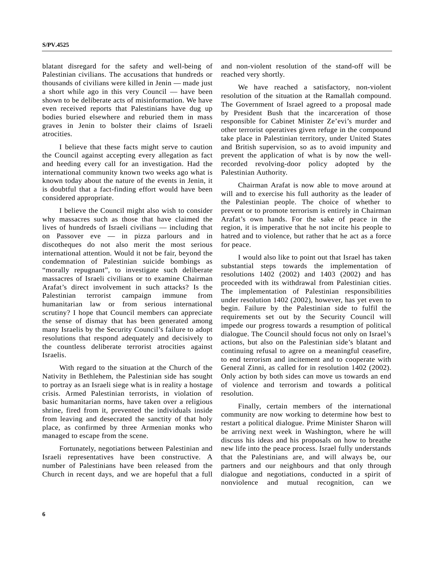blatant disregard for the safety and well-being of Palestinian civilians. The accusations that hundreds or thousands of civilians were killed in Jenin — made just a short while ago in this very Council — have been shown to be deliberate acts of misinformation. We have even received reports that Palestinians have dug up bodies buried elsewhere and reburied them in mass graves in Jenin to bolster their claims of Israeli atrocities.

I believe that these facts might serve to caution the Council against accepting every allegation as fact and heeding every call for an investigation. Had the international community known two weeks ago what is known today about the nature of the events in Jenin, it is doubtful that a fact-finding effort would have been considered appropriate.

I believe the Council might also wish to consider why massacres such as those that have claimed the lives of hundreds of Israeli civilians — including that on Passover eve — in pizza parlours and in discotheques do not also merit the most serious international attention. Would it not be fair, beyond the condemnation of Palestinian suicide bombings as "morally repugnant", to investigate such deliberate massacres of Israeli civilians or to examine Chairman Arafat's direct involvement in such attacks? Is the Palestinian terrorist campaign immune from humanitarian law or from serious international scrutiny? I hope that Council members can appreciate the sense of dismay that has been generated among many Israelis by the Security Council's failure to adopt resolutions that respond adequately and decisively to the countless deliberate terrorist atrocities against Israelis.

With regard to the situation at the Church of the Nativity in Bethlehem, the Palestinian side has sought to portray as an Israeli siege what is in reality a hostage crisis. Armed Palestinian terrorists, in violation of basic humanitarian norms, have taken over a religious shrine, fired from it, prevented the individuals inside from leaving and desecrated the sanctity of that holy place, as confirmed by three Armenian monks who managed to escape from the scene.

Fortunately, negotiations between Palestinian and Israeli representatives have been constructive. A number of Palestinians have been released from the Church in recent days, and we are hopeful that a full and non-violent resolution of the stand-off will be reached very shortly.

We have reached a satisfactory, non-violent resolution of the situation at the Ramallah compound. The Government of Israel agreed to a proposal made by President Bush that the incarceration of those responsible for Cabinet Minister Ze'evi's murder and other terrorist operatives given refuge in the compound take place in Palestinian territory, under United States and British supervision, so as to avoid impunity and prevent the application of what is by now the wellrecorded revolving-door policy adopted by the Palestinian Authority.

Chairman Arafat is now able to move around at will and to exercise his full authority as the leader of the Palestinian people. The choice of whether to prevent or to promote terrorism is entirely in Chairman Arafat's own hands. For the sake of peace in the region, it is imperative that he not incite his people to hatred and to violence, but rather that he act as a force for peace.

I would also like to point out that Israel has taken substantial steps towards the implementation of resolutions 1402 (2002) and 1403 (2002) and has proceeded with its withdrawal from Palestinian cities. The implementation of Palestinian responsibilities under resolution 1402 (2002), however, has yet even to begin. Failure by the Palestinian side to fulfil the requirements set out by the Security Council will impede our progress towards a resumption of political dialogue. The Council should focus not only on Israel's actions, but also on the Palestinian side's blatant and continuing refusal to agree on a meaningful ceasefire, to end terrorism and incitement and to cooperate with General Zinni, as called for in resolution 1402 (2002). Only action by both sides can move us towards an end of violence and terrorism and towards a political resolution.

Finally, certain members of the international community are now working to determine how best to restart a political dialogue. Prime Minister Sharon will be arriving next week in Washington, where he will discuss his ideas and his proposals on how to breathe new life into the peace process. Israel fully understands that the Palestinians are, and will always be, our partners and our neighbours and that only through dialogue and negotiations, conducted in a spirit of nonviolence and mutual recognition, can we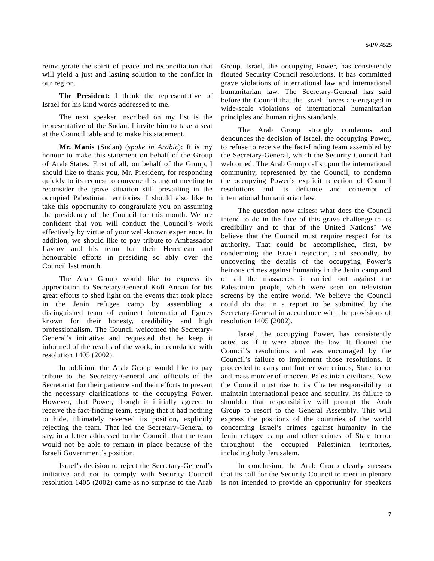reinvigorate the spirit of peace and reconciliation that will yield a just and lasting solution to the conflict in our region.

**The President:** I thank the representative of Israel for his kind words addressed to me.

The next speaker inscribed on my list is the representative of the Sudan. I invite him to take a seat at the Council table and to make his statement.

**Mr. Manis** (Sudan) (*spoke in Arabic*): It is my honour to make this statement on behalf of the Group of Arab States. First of all, on behalf of the Group, I should like to thank you, Mr. President, for responding quickly to its request to convene this urgent meeting to reconsider the grave situation still prevailing in the occupied Palestinian territories. I should also like to take this opportunity to congratulate you on assuming the presidency of the Council for this month. We are confident that you will conduct the Council's work effectively by virtue of your well-known experience. In addition, we should like to pay tribute to Ambassador Lavrov and his team for their Herculean and honourable efforts in presiding so ably over the Council last month.

The Arab Group would like to express its appreciation to Secretary-General Kofi Annan for his great efforts to shed light on the events that took place in the Jenin refugee camp by assembling a distinguished team of eminent international figures known for their honesty, credibility and high professionalism. The Council welcomed the Secretary-General's initiative and requested that he keep it informed of the results of the work, in accordance with resolution 1405 (2002).

In addition, the Arab Group would like to pay tribute to the Secretary-General and officials of the Secretariat for their patience and their efforts to present the necessary clarifications to the occupying Power. However, that Power, though it initially agreed to receive the fact-finding team, saying that it had nothing to hide, ultimately reversed its position, explicitly rejecting the team. That led the Secretary-General to say, in a letter addressed to the Council, that the team would not be able to remain in place because of the Israeli Government's position.

Israel's decision to reject the Secretary-General's initiative and not to comply with Security Council resolution 1405 (2002) came as no surprise to the Arab Group. Israel, the occupying Power, has consistently flouted Security Council resolutions. It has committed grave violations of international law and international humanitarian law. The Secretary-General has said before the Council that the Israeli forces are engaged in wide-scale violations of international humanitarian principles and human rights standards.

The Arab Group strongly condemns and denounces the decision of Israel, the occupying Power, to refuse to receive the fact-finding team assembled by the Secretary-General, which the Security Council had welcomed. The Arab Group calls upon the international community, represented by the Council, to condemn the occupying Power's explicit rejection of Council resolutions and its defiance and contempt of international humanitarian law.

The question now arises: what does the Council intend to do in the face of this grave challenge to its credibility and to that of the United Nations? We believe that the Council must require respect for its authority. That could be accomplished, first, by condemning the Israeli rejection, and secondly, by uncovering the details of the occupying Power's heinous crimes against humanity in the Jenin camp and of all the massacres it carried out against the Palestinian people, which were seen on television screens by the entire world. We believe the Council could do that in a report to be submitted by the Secretary-General in accordance with the provisions of resolution 1405 (2002).

Israel, the occupying Power, has consistently acted as if it were above the law. It flouted the Council's resolutions and was encouraged by the Council's failure to implement those resolutions. It proceeded to carry out further war crimes, State terror and mass murder of innocent Palestinian civilians. Now the Council must rise to its Charter responsibility to maintain international peace and security. Its failure to shoulder that responsibility will prompt the Arab Group to resort to the General Assembly. This will express the positions of the countries of the world concerning Israel's crimes against humanity in the Jenin refugee camp and other crimes of State terror throughout the occupied Palestinian territories, including holy Jerusalem.

In conclusion, the Arab Group clearly stresses that its call for the Security Council to meet in plenary is not intended to provide an opportunity for speakers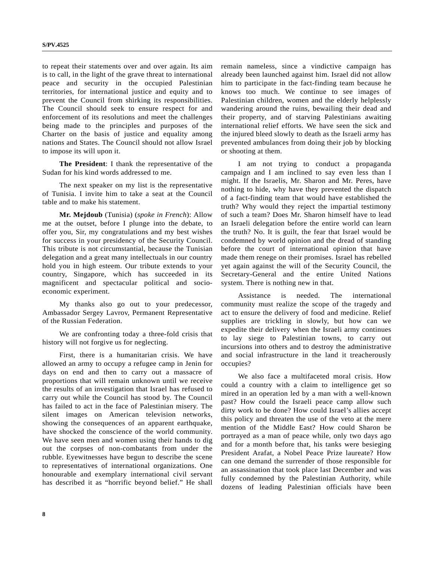to repeat their statements over and over again. Its aim is to call, in the light of the grave threat to international peace and security in the occupied Palestinian territories, for international justice and equity and to prevent the Council from shirking its responsibilities. The Council should seek to ensure respect for and enforcement of its resolutions and meet the challenges being made to the principles and purposes of the Charter on the basis of justice and equality among nations and States. The Council should not allow Israel to impose its will upon it.

**The President**: I thank the representative of the Sudan for his kind words addressed to me.

The next speaker on my list is the representative of Tunisia. I invite him to take a seat at the Council table and to make his statement.

**Mr. Mejdoub** (Tunisia) (*spoke in French*): Allow me at the outset, before I plunge into the debate, to offer you, Sir, my congratulations and my best wishes for success in your presidency of the Security Council. This tribute is not circumstantial, because the Tunisian delegation and a great many intellectuals in our country hold you in high esteem. Our tribute extends to your country, Singapore, which has succeeded in its magnificent and spectacular political and socioeconomic experiment.

My thanks also go out to your predecessor, Ambassador Sergey Lavrov, Permanent Representative of the Russian Federation.

We are confronting today a three-fold crisis that history will not forgive us for neglecting.

First, there is a humanitarian crisis. We have allowed an army to occupy a refugee camp in Jenin for days on end and then to carry out a massacre of proportions that will remain unknown until we receive the results of an investigation that Israel has refused to carry out while the Council has stood by. The Council has failed to act in the face of Palestinian misery. The silent images on American television networks, showing the consequences of an apparent earthquake, have shocked the conscience of the world community. We have seen men and women using their hands to dig out the corpses of non-combatants from under the rubble. Eyewitnesses have begun to describe the scene to representatives of international organizations. One honourable and exemplary international civil servant has described it as "horrific beyond belief." He shall

remain nameless, since a vindictive campaign has already been launched against him. Israel did not allow him to participate in the fact-finding team because he knows too much. We continue to see images of Palestinian children, women and the elderly helplessly wandering around the ruins, bewailing their dead and their property, and of starving Palestinians awaiting international relief efforts. We have seen the sick and the injured bleed slowly to death as the Israeli army has prevented ambulances from doing their job by blocking or shooting at them.

I am not trying to conduct a propaganda campaign and I am inclined to say even less than I might. If the Israelis, Mr. Sharon and Mr. Peres, have nothing to hide, why have they prevented the dispatch of a fact-finding team that would have established the truth? Why would they reject the impartial testimony of such a team? Does Mr. Sharon himself have to lead an Israeli delegation before the entire world can learn the truth? No. It is guilt, the fear that Israel would be condemned by world opinion and the dread of standing before the court of international opinion that have made them renege on their promises. Israel has rebelled yet again against the will of the Security Council, the Secretary-General and the entire United Nations system. There is nothing new in that.

Assistance is needed. The international community must realize the scope of the tragedy and act to ensure the delivery of food and medicine. Relief supplies are trickling in slowly, but how can we expedite their delivery when the Israeli army continues to lay siege to Palestinian towns, to carry out incursions into others and to destroy the administrative and social infrastructure in the land it treacherously occupies?

We also face a multifaceted moral crisis. How could a country with a claim to intelligence get so mired in an operation led by a man with a well-known past? How could the Israeli peace camp allow such dirty work to be done? How could Israel's allies accept this policy and threaten the use of the veto at the mere mention of the Middle East? How could Sharon be portrayed as a man of peace while, only two days ago and for a month before that, his tanks were besieging President Arafat, a Nobel Peace Prize laureate? How can one demand the surrender of those responsible for an assassination that took place last December and was fully condemned by the Palestinian Authority, while dozens of leading Palestinian officials have been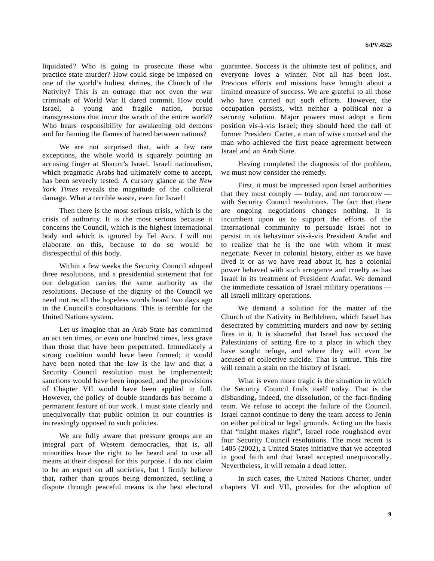liquidated? Who is going to prosecute those who practice state murder? How could siege be imposed on one of the world's holiest shrines, the Church of the Nativity? This is an outrage that not even the war criminals of World War II dared commit. How could Israel, a young and fragile nation, pursue transgressions that incur the wrath of the entire world? Who bears responsibility for awakening old demons and for fanning the flames of hatred between nations?

We are not surprised that, with a few rare exceptions, the whole world is squarely pointing an accusing finger at Sharon's Israel. Israeli nationalism, which pragmatic Arabs had ultimately come to accept, has been severely tested. A cursory glance at the *New York Times* reveals the magnitude of the collateral damage. What a terrible waste, even for Israel!

Then there is the most serious crisis, which is the crisis of authority. It is the most serious because it concerns the Council, which is the highest international body and which is ignored by Tel Aviv. I will not elaborate on this, because to do so would be disrespectful of this body.

Within a few weeks the Security Council adopted three resolutions, and a presidential statement that for our delegation carries the same authority as the resolutions. Because of the dignity of the Council we need not recall the hopeless words heard two days ago in the Council's consultations. This is terrible for the United Nations system.

Let us imagine that an Arab State has committed an act ten times, or even one hundred times, less grave than those that have been perpetrated. Immediately a strong coalition would have been formed; it would have been noted that the law is the law and that a Security Council resolution must be implemented; sanctions would have been imposed, and the provisions of Chapter VII would have been applied in full. However, the policy of double standards has become a permanent feature of our work. I must state clearly and unequivocally that public opinion in our countries is increasingly opposed to such policies.

We are fully aware that pressure groups are an integral part of Western democracies, that is, all minorities have the right to be heard and to use all means at their disposal for this purpose. I do not claim to be an expert on all societies, but I firmly believe that, rather than groups being demonized, settling a dispute through peaceful means is the best electoral guarantee. Success is the ultimate test of politics, and everyone loves a winner. Not all has been lost. Previous efforts and missions have brought about a limited measure of success. We are grateful to all those who have carried out such efforts. However, the occupation persists, with neither a political nor a security solution. Major powers must adopt a firm position vis-à-vis Israel; they should heed the call of former President Carter, a man of wise counsel and the man who achieved the first peace agreement between Israel and an Arab State.

Having completed the diagnosis of the problem, we must now consider the remedy.

First, it must be impressed upon Israel authorities that they must comply — today, and not tomorrow with Security Council resolutions. The fact that there are ongoing negotiations changes nothing. It is incumbent upon us to support the efforts of the international community to persuade Israel not to persist in its behaviour vis-à-vis President Arafat and to realize that he is the one with whom it must negotiate. Never in colonial history, either as we have lived it or as we have read about it, has a colonial power behaved with such arrogance and cruelty as has Israel in its treatment of President Arafat. We demand the immediate cessation of Israel military operations all Israeli military operations.

We demand a solution for the matter of the Church of the Nativity in Bethlehem, which Israel has desecrated by committing murders and now by setting fires in it. It is shameful that Israel has accused the Palestinians of setting fire to a place in which they have sought refuge, and where they will even be accused of collective suicide. That is untrue. This fire will remain a stain on the history of Israel.

What is even more tragic is the situation in which the Security Council finds itself today. That is the disbanding, indeed, the dissolution, of the fact-finding team. We refuse to accept the failure of the Council. Israel cannot continue to deny the team access to Jenin on either political or legal grounds. Acting on the basis that "might makes right", Israel rode roughshod over four Security Council resolutions. The most recent is 1405 (2002), a United States initiative that we accepted in good faith and that Israel accepted unequivocally. Nevertheless, it will remain a dead letter.

In such cases, the United Nations Charter, under chapters VI and VII, provides for the adoption of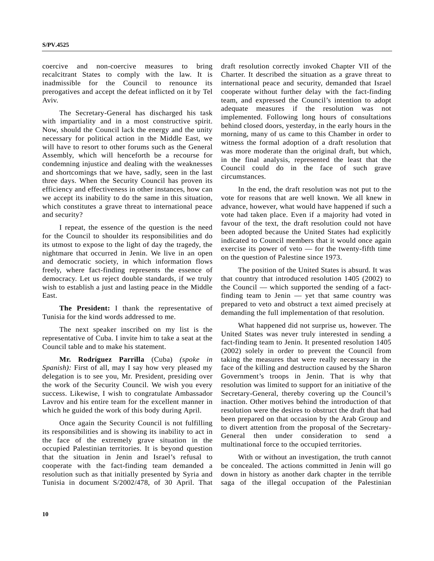coercive and non-coercive measures to bring recalcitrant States to comply with the law. It is inadmissible for the Council to renounce its prerogatives and accept the defeat inflicted on it by Tel Aviv.

The Secretary-General has discharged his task with impartiality and in a most constructive spirit. Now, should the Council lack the energy and the unity necessary for political action in the Middle East, we will have to resort to other forums such as the General Assembly, which will henceforth be a recourse for condemning injustice and dealing with the weaknesses and shortcomings that we have, sadly, seen in the last three days. When the Security Council has proven its efficiency and effectiveness in other instances, how can we accept its inability to do the same in this situation, which constitutes a grave threat to international peace and security?

I repeat, the essence of the question is the need for the Council to shoulder its responsibilities and do its utmost to expose to the light of day the tragedy, the nightmare that occurred in Jenin. We live in an open and democratic society, in which information flows freely, where fact-finding represents the essence of democracy. Let us reject double standards, if we truly wish to establish a just and lasting peace in the Middle East.

**The President:** I thank the representative of Tunisia for the kind words addressed to me.

The next speaker inscribed on my list is the representative of Cuba. I invite him to take a seat at the Council table and to make his statement.

**Mr. Rodríguez Parrilla** (Cuba) *(spoke in Spanish*): First of all, may I say how very pleased my delegation is to see you, Mr. President, presiding over the work of the Security Council. We wish you every success. Likewise, I wish to congratulate Ambassador Lavrov and his entire team for the excellent manner in which he guided the work of this body during April.

Once again the Security Council is not fulfilling its responsibilities and is showing its inability to act in the face of the extremely grave situation in the occupied Palestinian territories. It is beyond question that the situation in Jenin and Israel's refusal to cooperate with the fact-finding team demanded a resolution such as that initially presented by Syria and Tunisia in document S/2002/478, of 30 April. That draft resolution correctly invoked Chapter VII of the Charter. It described the situation as a grave threat to international peace and security, demanded that Israel cooperate without further delay with the fact-finding team, and expressed the Council's intention to adopt adequate measures if the resolution was not implemented. Following long hours of consultations behind closed doors, yesterday, in the early hours in the morning, many of us came to this Chamber in order to witness the formal adoption of a draft resolution that was more moderate than the original draft, but which, in the final analysis, represented the least that the Council could do in the face of such grave circumstances.

In the end, the draft resolution was not put to the vote for reasons that are well known. We all knew in advance, however, what would have happened if such a vote had taken place. Even if a majority had voted in favour of the text, the draft resolution could not have been adopted because the United States had explicitly indicated to Council members that it would once again exercise its power of veto — for the twenty-fifth time on the question of Palestine since 1973.

The position of the United States is absurd. It was that country that introduced resolution 1405 (2002) to the Council — which supported the sending of a factfinding team to Jenin — yet that same country was prepared to veto and obstruct a text aimed precisely at demanding the full implementation of that resolution.

What happened did not surprise us, however. The United States was never truly interested in sending a fact-finding team to Jenin. It presented resolution 1405 (2002) solely in order to prevent the Council from taking the measures that were really necessary in the face of the killing and destruction caused by the Sharon Government's troops in Jenin. That is why that resolution was limited to support for an initiative of the Secretary-General, thereby covering up the Council's inaction. Other motives behind the introduction of that resolution were the desires to obstruct the draft that had been prepared on that occasion by the Arab Group and to divert attention from the proposal of the Secretary-General then under consideration to send a multinational force to the occupied territories.

With or without an investigation, the truth cannot be concealed. The actions committed in Jenin will go down in history as another dark chapter in the terrible saga of the illegal occupation of the Palestinian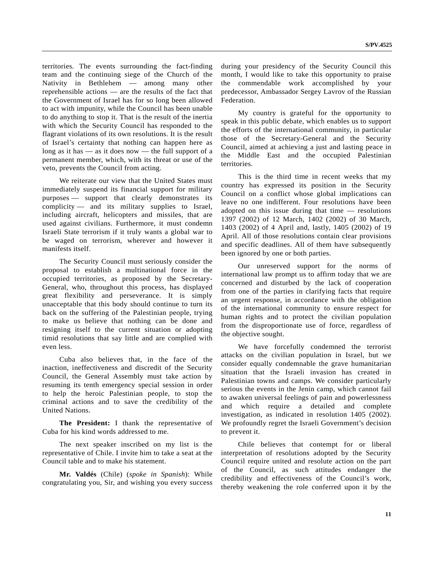territories. The events surrounding the fact-finding team and the continuing siege of the Church of the Nativity in Bethlehem — among many other reprehensible actions — are the results of the fact that the Government of Israel has for so long been allowed to act with impunity, while the Council has been unable to do anything to stop it. That is the result of the inertia with which the Security Council has responded to the flagrant violations of its own resolutions. It is the result of Israel's certainty that nothing can happen here as long as it has — as it does now — the full support of a permanent member, which, with its threat or use of the veto, prevents the Council from acting.

We reiterate our view that the United States must immediately suspend its financial support for military purposes — support that clearly demonstrates its complicity — and its military supplies to Israel, including aircraft, helicopters and missiles, that are used against civilians. Furthermore, it must condemn Israeli State terrorism if it truly wants a global war to be waged on terrorism, wherever and however it manifests itself.

The Security Council must seriously consider the proposal to establish a multinational force in the occupied territories, as proposed by the Secretary-General, who, throughout this process, has displayed great flexibility and perseverance. It is simply unacceptable that this body should continue to turn its back on the suffering of the Palestinian people, trying to make us believe that nothing can be done and resigning itself to the current situation or adopting timid resolutions that say little and are complied with even less.

Cuba also believes that, in the face of the inaction, ineffectiveness and discredit of the Security Council, the General Assembly must take action by resuming its tenth emergency special session in order to help the heroic Palestinian people, to stop the criminal actions and to save the credibility of the United Nations.

**The President:** I thank the representative of Cuba for his kind words addressed to me.

The next speaker inscribed on my list is the representative of Chile. I invite him to take a seat at the Council table and to make his statement.

**Mr. Valdés** (Chile) (*spoke in Spanish*): While congratulating you, Sir, and wishing you every success during your presidency of the Security Council this month, I would like to take this opportunity to praise the commendable work accomplished by your predecessor, Ambassador Sergey Lavrov of the Russian Federation.

My country is grateful for the opportunity to speak in this public debate, which enables us to support the efforts of the international community, in particular those of the Secretary-General and the Security Council, aimed at achieving a just and lasting peace in the Middle East and the occupied Palestinian territories.

This is the third time in recent weeks that my country has expressed its position in the Security Council on a conflict whose global implications can leave no one indifferent. Four resolutions have been adopted on this issue during that time — resolutions 1397 (2002) of 12 March, 1402 (2002) of 30 March, 1403 (2002) of 4 April and, lastly, 1405 (2002) of 19 April. All of those resolutions contain clear provisions and specific deadlines. All of them have subsequently been ignored by one or both parties.

Our unreserved support for the norms of international law prompt us to affirm today that we are concerned and disturbed by the lack of cooperation from one of the parties in clarifying facts that require an urgent response, in accordance with the obligation of the international community to ensure respect for human rights and to protect the civilian population from the disproportionate use of force, regardless of the objective sought.

We have forcefully condemned the terrorist attacks on the civilian population in Israel, but we consider equally condemnable the grave humanitarian situation that the Israeli invasion has created in Palestinian towns and camps. We consider particularly serious the events in the Jenin camp, which cannot fail to awaken universal feelings of pain and powerlessness and which require a detailed and complete investigation, as indicated in resolution 1405 (2002). We profoundly regret the Israeli Government's decision to prevent it.

Chile believes that contempt for or liberal interpretation of resolutions adopted by the Security Council require united and resolute action on the part of the Council, as such attitudes endanger the credibility and effectiveness of the Council's work, thereby weakening the role conferred upon it by the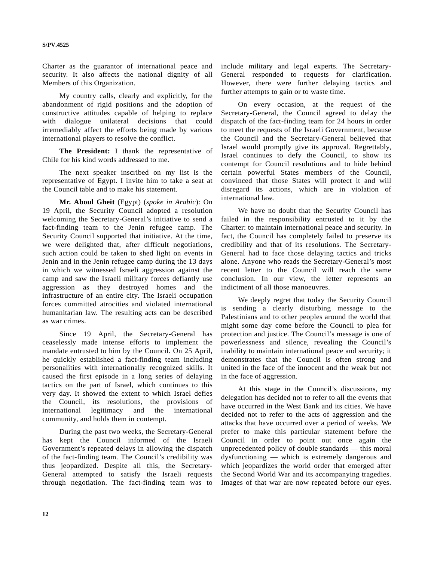Charter as the guarantor of international peace and security. It also affects the national dignity of all Members of this Organization.

My country calls, clearly and explicitly, for the abandonment of rigid positions and the adoption of constructive attitudes capable of helping to replace with dialogue unilateral decisions that could irremediably affect the efforts being made by various international players to resolve the conflict.

**The President:** I thank the representative of Chile for his kind words addressed to me.

The next speaker inscribed on my list is the representative of Egypt. I invite him to take a seat at the Council table and to make his statement.

**Mr. Aboul Gheit** (Egypt) (*spoke in Arabic*): On 19 April, the Security Council adopted a resolution welcoming the Secretary-General's initiative to send a fact-finding team to the Jenin refugee camp. The Security Council supported that initiative. At the time, we were delighted that, after difficult negotiations, such action could be taken to shed light on events in Jenin and in the Jenin refugee camp during the 13 days in which we witnessed Israeli aggression against the camp and saw the Israeli military forces defiantly use aggression as they destroyed homes and the infrastructure of an entire city. The Israeli occupation forces committed atrocities and violated international humanitarian law. The resulting acts can be described as war crimes.

Since 19 April, the Secretary-General has ceaselessly made intense efforts to implement the mandate entrusted to him by the Council. On 25 April, he quickly established a fact-finding team including personalities with internationally recognized skills. It caused the first episode in a long series of delaying tactics on the part of Israel, which continues to this very day. It showed the extent to which Israel defies the Council, its resolutions, the provisions of international legitimacy and the international community, and holds them in contempt.

During the past two weeks, the Secretary-General has kept the Council informed of the Israeli Government's repeated delays in allowing the dispatch of the fact-finding team. The Council's credibility was thus jeopardized. Despite all this, the Secretary-General attempted to satisfy the Israeli requests through negotiation. The fact-finding team was to include military and legal experts. The Secretary-General responded to requests for clarification. However, there were further delaying tactics and further attempts to gain or to waste time.

On every occasion, at the request of the Secretary-General, the Council agreed to delay the dispatch of the fact-finding team for 24 hours in order to meet the requests of the Israeli Government, because the Council and the Secretary-General believed that Israel would promptly give its approval. Regrettably, Israel continues to defy the Council, to show its contempt for Council resolutions and to hide behind certain powerful States members of the Council, convinced that those States will protect it and will disregard its actions, which are in violation of international law.

We have no doubt that the Security Council has failed in the responsibility entrusted to it by the Charter: to maintain international peace and security. In fact, the Council has completely failed to preserve its credibility and that of its resolutions. The Secretary-General had to face those delaying tactics and tricks alone. Anyone who reads the Secretary-General's most recent letter to the Council will reach the same conclusion. In our view, the letter represents an indictment of all those manoeuvres.

We deeply regret that today the Security Council is sending a clearly disturbing message to the Palestinians and to other peoples around the world that might some day come before the Council to plea for protection and justice. The Council's message is one of powerlessness and silence, revealing the Council's inability to maintain international peace and security; it demonstrates that the Council is often strong and united in the face of the innocent and the weak but not in the face of aggression.

At this stage in the Council's discussions, my delegation has decided not to refer to all the events that have occurred in the West Bank and its cities. We have decided not to refer to the acts of aggression and the attacks that have occurred over a period of weeks. We prefer to make this particular statement before the Council in order to point out once again the unprecedented policy of double standards — this moral dysfunctioning — which is extremely dangerous and which jeopardizes the world order that emerged after the Second World War and its accompanying tragedies. Images of that war are now repeated before our eyes.